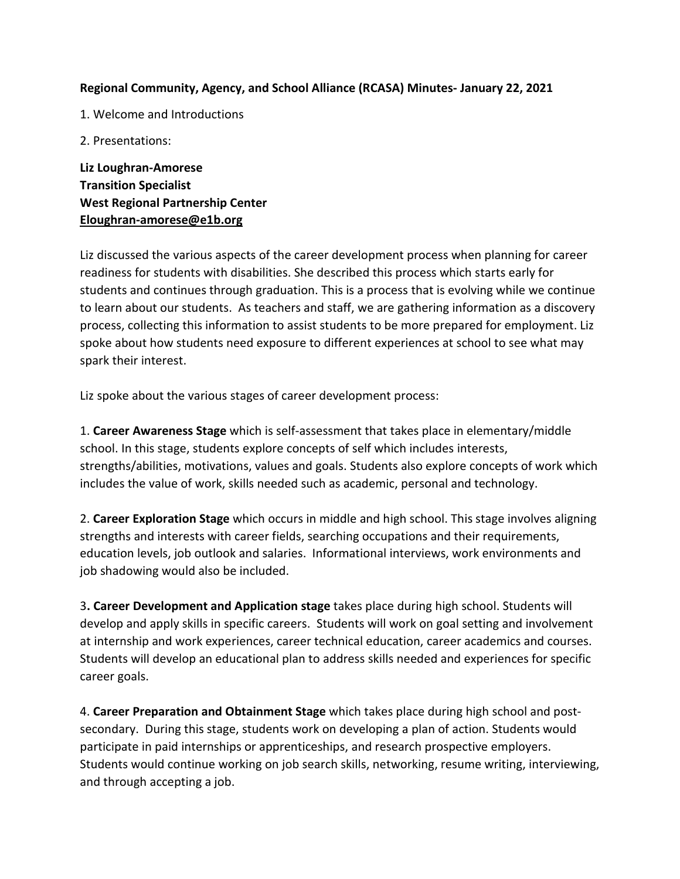## **Regional Community, Agency, and School Alliance (RCASA) Minutes- January 22, 2021**

- 1. Welcome and Introductions
- 2. Presentations:

**Liz Loughran-Amorese Transition Specialist West Regional Partnership Center Eloughran-amorese@e1b.org**

Liz discussed the various aspects of the career development process when planning for career readiness for students with disabilities. She described this process which starts early for students and continues through graduation. This is a process that is evolving while we continue to learn about our students. As teachers and staff, we are gathering information as a discovery process, collecting this information to assist students to be more prepared for employment. Liz spoke about how students need exposure to different experiences at school to see what may spark their interest.

Liz spoke about the various stages of career development process:

1. **Career Awareness Stage** which is self-assessment that takes place in elementary/middle school. In this stage, students explore concepts of self which includes interests, strengths/abilities, motivations, values and goals. Students also explore concepts of work which includes the value of work, skills needed such as academic, personal and technology.

2. **Career Exploration Stage** which occurs in middle and high school. This stage involves aligning strengths and interests with career fields, searching occupations and their requirements, education levels, job outlook and salaries. Informational interviews, work environments and job shadowing would also be included.

3**. Career Development and Application stage** takes place during high school. Students will develop and apply skills in specific careers. Students will work on goal setting and involvement at internship and work experiences, career technical education, career academics and courses. Students will develop an educational plan to address skills needed and experiences for specific career goals.

4. **Career Preparation and Obtainment Stage** which takes place during high school and postsecondary. During this stage, students work on developing a plan of action. Students would participate in paid internships or apprenticeships, and research prospective employers. Students would continue working on job search skills, networking, resume writing, interviewing, and through accepting a job.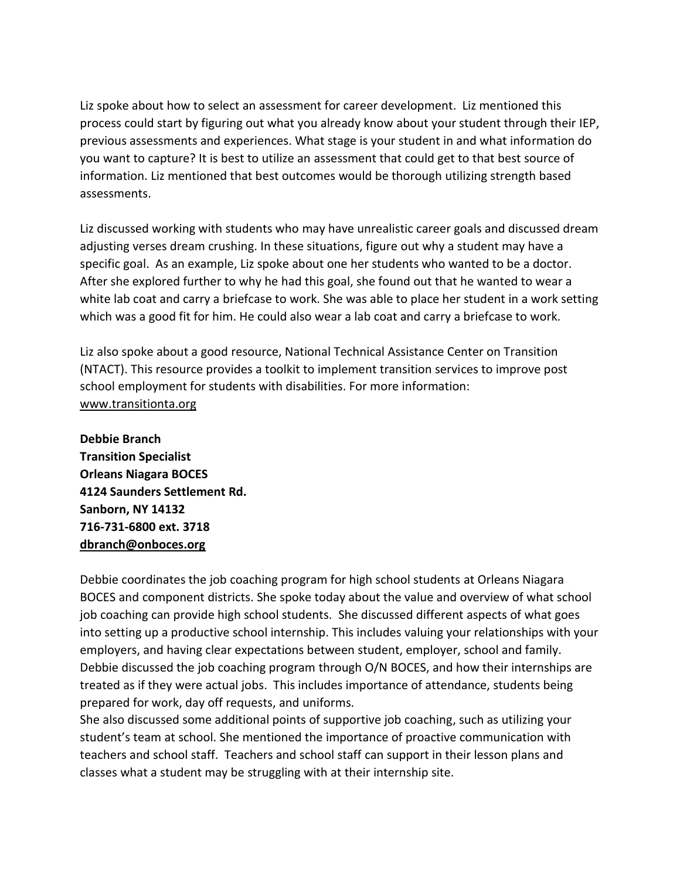Liz spoke about how to select an assessment for career development. Liz mentioned this process could start by figuring out what you already know about your student through their IEP, previous assessments and experiences. What stage is your student in and what information do you want to capture? It is best to utilize an assessment that could get to that best source of information. Liz mentioned that best outcomes would be thorough utilizing strength based assessments.

Liz discussed working with students who may have unrealistic career goals and discussed dream adjusting verses dream crushing. In these situations, figure out why a student may have a specific goal. As an example, Liz spoke about one her students who wanted to be a doctor. After she explored further to why he had this goal, she found out that he wanted to wear a white lab coat and carry a briefcase to work. She was able to place her student in a work setting which was a good fit for him. He could also wear a lab coat and carry a briefcase to work.

Liz also spoke about a good resource, National Technical Assistance Center on Transition (NTACT). This resource provides a toolkit to implement transition services to improve post school employment for students with disabilities. For more information: [www.transitionta.org](http://www.transitionta.org/)

**Debbie Branch Transition Specialist Orleans Niagara BOCES 4124 Saunders Settlement Rd. Sanborn, NY 14132 716-731-6800 ext. 3718 [dbranch@onboces.org](mailto:dbranch@onboces.org)**

Debbie coordinates the job coaching program for high school students at Orleans Niagara BOCES and component districts. She spoke today about the value and overview of what school job coaching can provide high school students. She discussed different aspects of what goes into setting up a productive school internship. This includes valuing your relationships with your employers, and having clear expectations between student, employer, school and family. Debbie discussed the job coaching program through O/N BOCES, and how their internships are treated as if they were actual jobs. This includes importance of attendance, students being prepared for work, day off requests, and uniforms.

She also discussed some additional points of supportive job coaching, such as utilizing your student's team at school. She mentioned the importance of proactive communication with teachers and school staff. Teachers and school staff can support in their lesson plans and classes what a student may be struggling with at their internship site.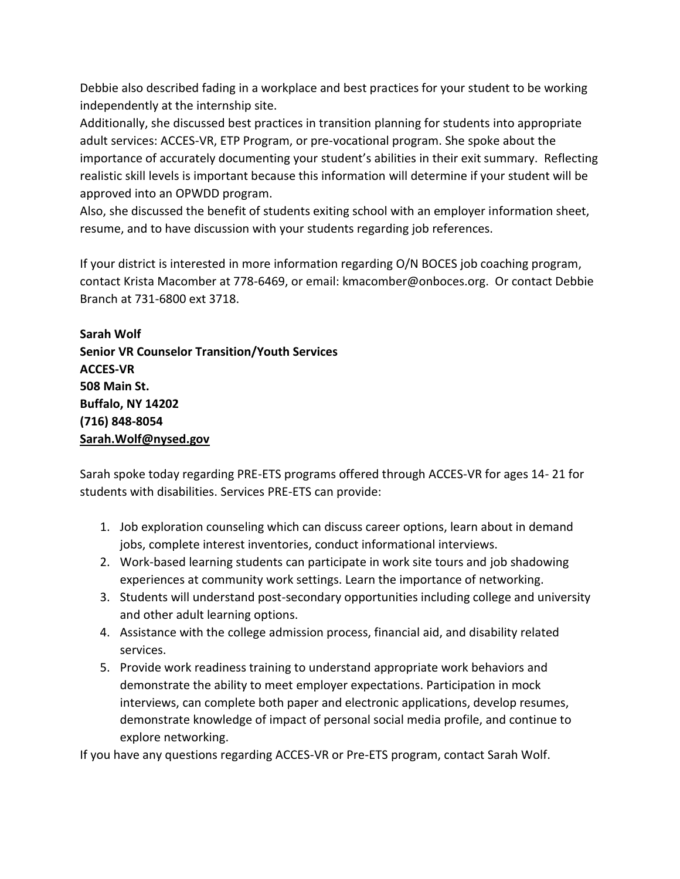Debbie also described fading in a workplace and best practices for your student to be working independently at the internship site.

Additionally, she discussed best practices in transition planning for students into appropriate adult services: ACCES-VR, ETP Program, or pre-vocational program. She spoke about the importance of accurately documenting your student's abilities in their exit summary. Reflecting realistic skill levels is important because this information will determine if your student will be approved into an OPWDD program.

Also, she discussed the benefit of students exiting school with an employer information sheet, resume, and to have discussion with your students regarding job references.

If your district is interested in more information regarding O/N BOCES job coaching program, contact Krista Macomber at 778-6469, or email: kmacomber@onboces.org. Or contact Debbie Branch at 731-6800 ext 3718.

**Sarah Wolf Senior VR Counselor Transition/Youth Services ACCES-VR 508 Main St. Buffalo, NY 14202 (716) 848-8054 Sarah.Wolf@nysed.gov**

Sarah spoke today regarding PRE-ETS programs offered through ACCES-VR for ages 14- 21 for students with disabilities. Services PRE-ETS can provide:

- 1. Job exploration counseling which can discuss career options, learn about in demand jobs, complete interest inventories, conduct informational interviews.
- 2. Work-based learning students can participate in work site tours and job shadowing experiences at community work settings. Learn the importance of networking.
- 3. Students will understand post-secondary opportunities including college and university and other adult learning options.
- 4. Assistance with the college admission process, financial aid, and disability related services.
- 5. Provide work readiness training to understand appropriate work behaviors and demonstrate the ability to meet employer expectations. Participation in mock interviews, can complete both paper and electronic applications, develop resumes, demonstrate knowledge of impact of personal social media profile, and continue to explore networking.

If you have any questions regarding ACCES-VR or Pre-ETS program, contact Sarah Wolf.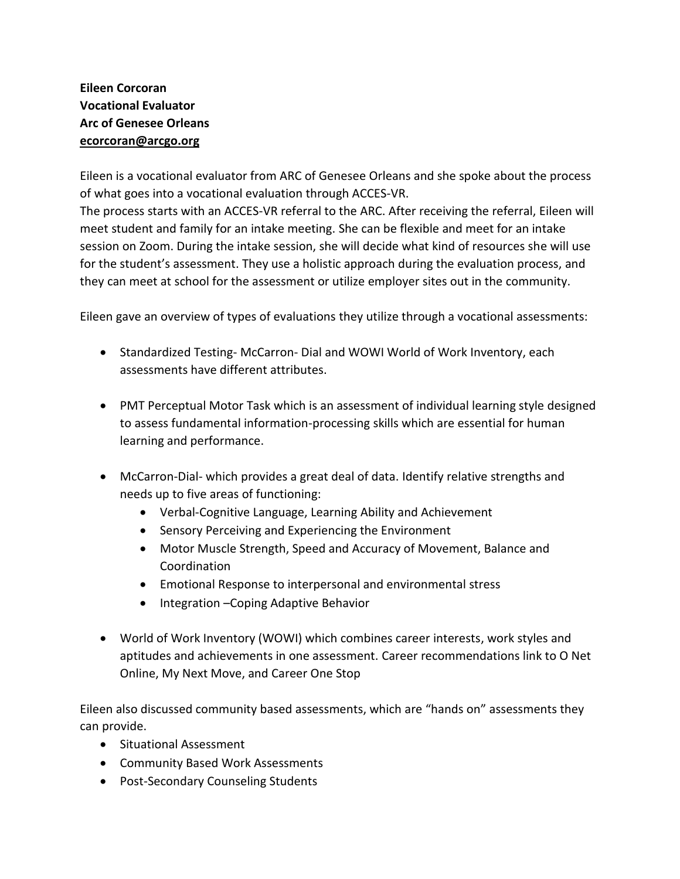## **Eileen Corcoran Vocational Evaluator Arc of Genesee Orleans [ecorcoran@arcgo.org](mailto:ecorcoran@arcgo.org)**

Eileen is a vocational evaluator from ARC of Genesee Orleans and she spoke about the process of what goes into a vocational evaluation through ACCES-VR. The process starts with an ACCES-VR referral to the ARC. After receiving the referral, Eileen will meet student and family for an intake meeting. She can be flexible and meet for an intake session on Zoom. During the intake session, she will decide what kind of resources she will use for the student's assessment. They use a holistic approach during the evaluation process, and they can meet at school for the assessment or utilize employer sites out in the community.

Eileen gave an overview of types of evaluations they utilize through a vocational assessments:

- Standardized Testing-McCarron- Dial and WOWI World of Work Inventory, each assessments have different attributes.
- PMT Perceptual Motor Task which is an assessment of individual learning style designed to assess fundamental information-processing skills which are essential for human learning and performance.
- McCarron-Dial- which provides a great deal of data. Identify relative strengths and needs up to five areas of functioning:
	- Verbal-Cognitive Language, Learning Ability and Achievement
	- Sensory Perceiving and Experiencing the Environment
	- Motor Muscle Strength, Speed and Accuracy of Movement, Balance and Coordination
	- Emotional Response to interpersonal and environmental stress
	- Integration –Coping Adaptive Behavior
- World of Work Inventory (WOWI) which combines career interests, work styles and aptitudes and achievements in one assessment. Career recommendations link to O Net Online, My Next Move, and Career One Stop

Eileen also discussed community based assessments, which are "hands on" assessments they can provide.

- Situational Assessment
- Community Based Work Assessments
- Post-Secondary Counseling Students